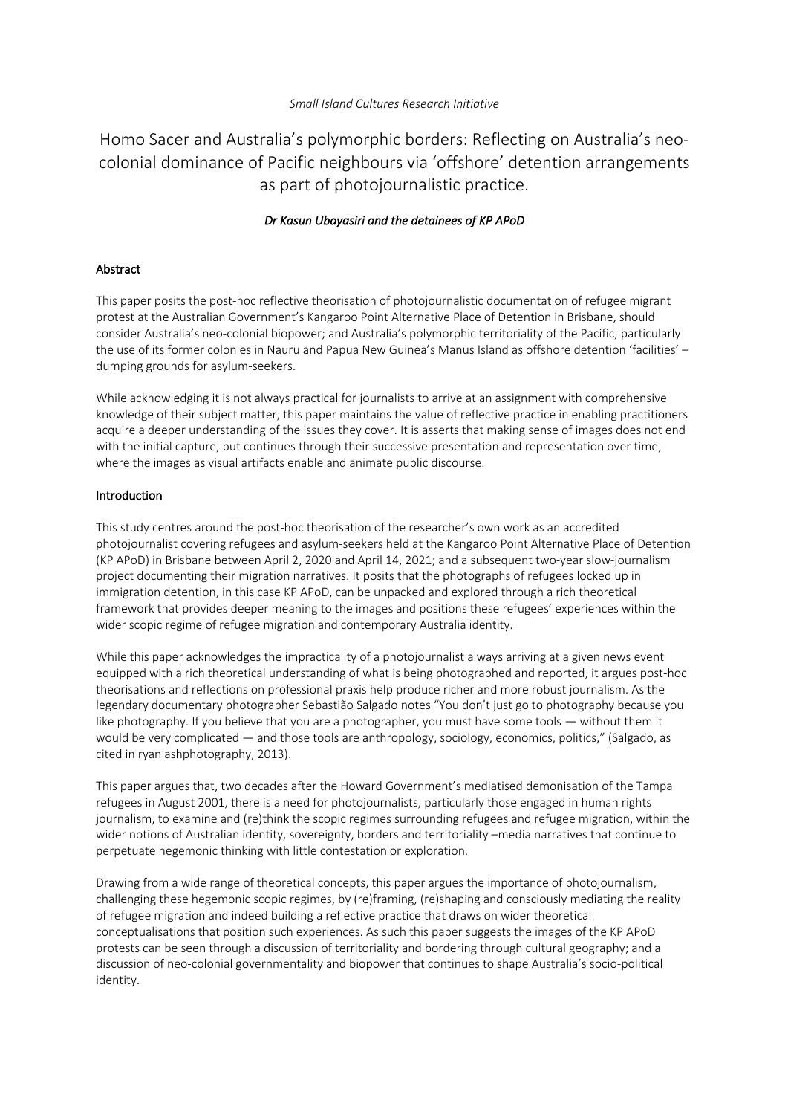## *Small Island Cultures Research Initiative*

Homo Sacer and Australia's polymorphic borders: Reflecting on Australia's neocolonial dominance of Pacific neighbours via 'offshore' detention arrangements as part of photojournalistic practice.

# *Dr Kasun Ubayasiri and the detainees of KP APoD*

## Abstract

This paper posits the post-hoc reflective theorisation of photojournalistic documentation of refugee migrant protest at the Australian Government's Kangaroo Point Alternative Place of Detention in Brisbane, should consider Australia's neo-colonial biopower; and Australia's polymorphic territoriality of the Pacific, particularly the use of its former colonies in Nauru and Papua New Guinea's Manus Island as offshore detention 'facilities' – dumping grounds for asylum-seekers.

While acknowledging it is not always practical for journalists to arrive at an assignment with comprehensive knowledge of their subject matter, this paper maintains the value of reflective practice in enabling practitioners acquire a deeper understanding of the issues they cover. It is asserts that making sense of images does not end with the initial capture, but continues through their successive presentation and representation over time, where the images as visual artifacts enable and animate public discourse.

## Introduction

This study centres around the post-hoc theorisation of the researcher's own work as an accredited photojournalist covering refugees and asylum-seekers held at the Kangaroo Point Alternative Place of Detention (KP APoD) in Brisbane between April 2, 2020 and April 14, 2021; and a subsequent two-year slow-journalism project documenting their migration narratives. It posits that the photographs of refugees locked up in immigration detention, in this case KP APoD, can be unpacked and explored through a rich theoretical framework that provides deeper meaning to the images and positions these refugees' experiences within the wider scopic regime of refugee migration and contemporary Australia identity.

While this paper acknowledges the impracticality of a photojournalist always arriving at a given news event equipped with a rich theoretical understanding of what is being photographed and reported, it argues post-hoc theorisations and reflections on professional praxis help produce richer and more robust journalism. As the legendary documentary photographer Sebastião Salgado notes "You don't just go to photography because you like photography. If you believe that you are a photographer, you must have some tools — without them it would be very complicated — and those tools are anthropology, sociology, economics, politics," (Salgado, as cited in ryanlashphotography, 2013).

This paper argues that, two decades after the Howard Government's mediatised demonisation of the Tampa refugees in August 2001, there is a need for photojournalists, particularly those engaged in human rights journalism, to examine and (re)think the scopic regimes surrounding refugees and refugee migration, within the wider notions of Australian identity, sovereignty, borders and territoriality –media narratives that continue to perpetuate hegemonic thinking with little contestation or exploration.

Drawing from a wide range of theoretical concepts, this paper argues the importance of photojournalism, challenging these hegemonic scopic regimes, by (re)framing, (re)shaping and consciously mediating the reality of refugee migration and indeed building a reflective practice that draws on wider theoretical conceptualisations that position such experiences. As such this paper suggests the images of the KP APoD protests can be seen through a discussion of territoriality and bordering through cultural geography; and a discussion of neo-colonial governmentality and biopower that continues to shape Australia's socio-political identity.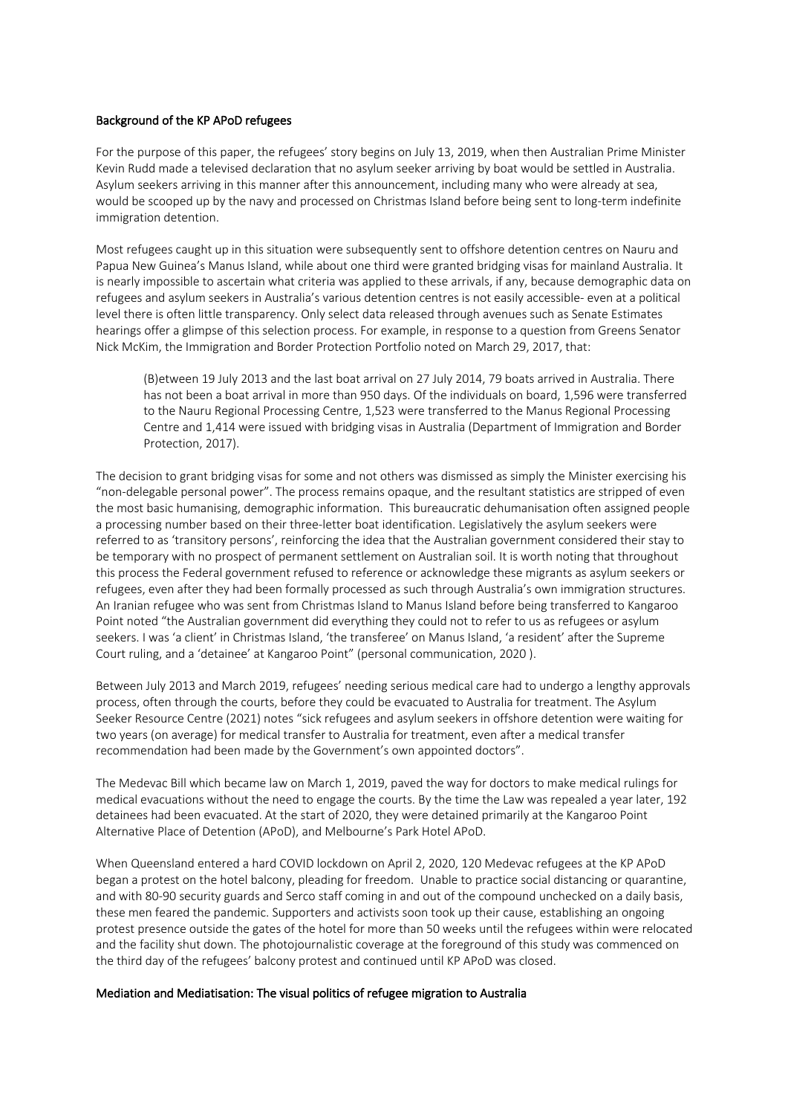#### Background of the KP APoD refugees

For the purpose of this paper, the refugees' story begins on July 13, 2019, when then Australian Prime Minister Kevin Rudd made a televised declaration that no asylum seeker arriving by boat would be settled in Australia. Asylum seekers arriving in this manner after this announcement, including many who were already at sea, would be scooped up by the navy and processed on Christmas Island before being sent to long-term indefinite immigration detention.

Most refugees caught up in this situation were subsequently sent to offshore detention centres on Nauru and Papua New Guinea's Manus Island, while about one third were granted bridging visas for mainland Australia. It is nearly impossible to ascertain what criteria was applied to these arrivals, if any, because demographic data on refugees and asylum seekers in Australia's various detention centres is not easily accessible- even at a political level there is often little transparency. Only select data released through avenues such as Senate Estimates hearings offer a glimpse of this selection process. For example, in response to a question from Greens Senator Nick McKim, the Immigration and Border Protection Portfolio noted on March 29, 2017, that:

(B)etween 19 July 2013 and the last boat arrival on 27 July 2014, 79 boats arrived in Australia. There has not been a boat arrival in more than 950 days. Of the individuals on board, 1,596 were transferred to the Nauru Regional Processing Centre, 1,523 were transferred to the Manus Regional Processing Centre and 1,414 were issued with bridging visas in Australia (Department of Immigration and Border Protection, 2017).

The decision to grant bridging visas for some and not others was dismissed as simply the Minister exercising his "non-delegable personal power". The process remains opaque, and the resultant statistics are stripped of even the most basic humanising, demographic information. This bureaucratic dehumanisation often assigned people a processing number based on their three-letter boat identification. Legislatively the asylum seekers were referred to as 'transitory persons', reinforcing the idea that the Australian government considered their stay to be temporary with no prospect of permanent settlement on Australian soil. It is worth noting that throughout this process the Federal government refused to reference or acknowledge these migrants as asylum seekers or refugees, even after they had been formally processed as such through Australia's own immigration structures. An Iranian refugee who was sent from Christmas Island to Manus Island before being transferred to Kangaroo Point noted "the Australian government did everything they could not to refer to us as refugees or asylum seekers. I was 'a client' in Christmas Island, 'the transferee' on Manus Island, 'a resident' after the Supreme Court ruling, and a 'detainee' at Kangaroo Point" (personal communication, 2020 ).

Between July 2013 and March 2019, refugees' needing serious medical care had to undergo a lengthy approvals process, often through the courts, before they could be evacuated to Australia for treatment. The Asylum Seeker Resource Centre (2021) notes "sick refugees and asylum seekers in offshore detention were waiting for two years (on average) for medical transfer to Australia for treatment, even after a medical transfer recommendation had been made by the Government's own appointed doctors".

The Medevac Bill which became law on March 1, 2019, paved the way for doctors to make medical rulings for medical evacuations without the need to engage the courts. By the time the Law was repealed a year later, 192 detainees had been evacuated. At the start of 2020, they were detained primarily at the Kangaroo Point Alternative Place of Detention (APoD), and Melbourne's Park Hotel APoD.

When Queensland entered a hard COVID lockdown on April 2, 2020, 120 Medevac refugees at the KP APoD began a protest on the hotel balcony, pleading for freedom. Unable to practice social distancing or quarantine, and with 80-90 security guards and Serco staff coming in and out of the compound unchecked on a daily basis, these men feared the pandemic. Supporters and activists soon took up their cause, establishing an ongoing protest presence outside the gates of the hotel for more than 50 weeks until the refugees within were relocated and the facility shut down. The photojournalistic coverage at the foreground of this study was commenced on the third day of the refugees' balcony protest and continued until KP APoD was closed.

#### Mediation and Mediatisation: The visual politics of refugee migration to Australia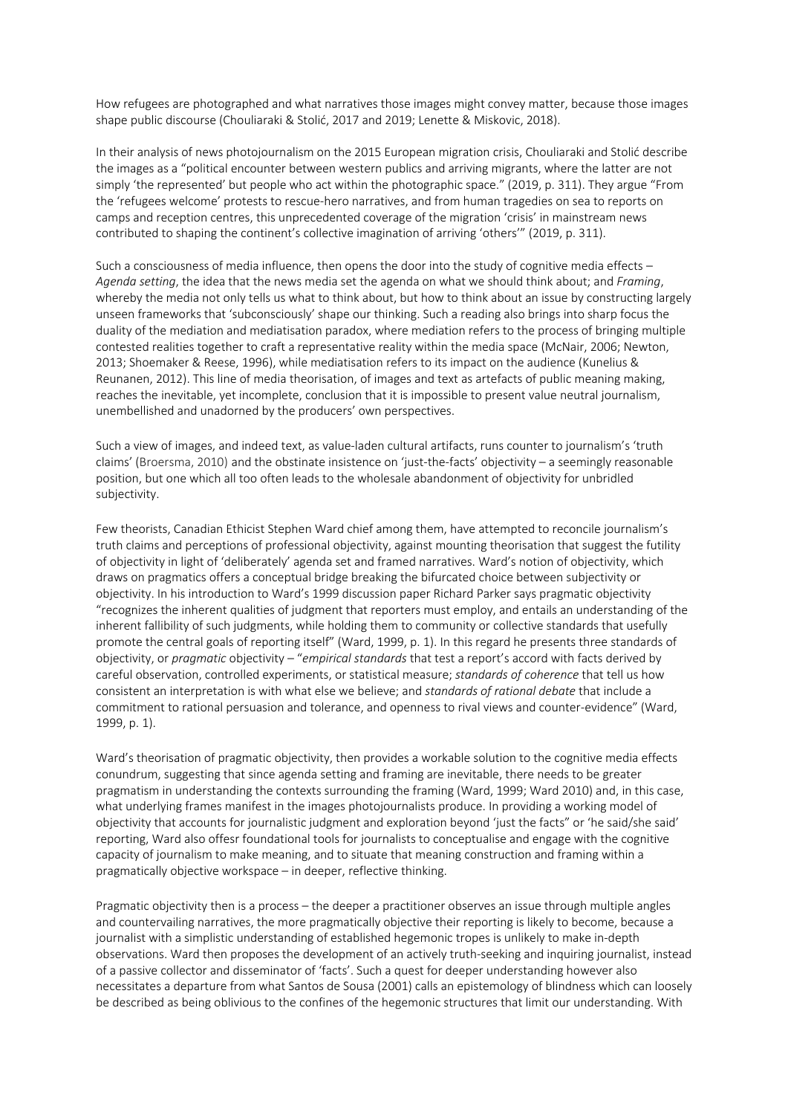How refugees are photographed and what narratives those images might convey matter, because those images shape public discourse (Chouliaraki & Stolić, 2017 and 2019; Lenette & Miskovic, 2018).

In their analysis of news photojournalism on the 2015 European migration crisis, Chouliaraki and Stolić describe the images as a "political encounter between western publics and arriving migrants, where the latter are not simply 'the represented' but people who act within the photographic space." (2019, p. 311). They argue "From the 'refugees welcome' protests to rescue-hero narratives, and from human tragedies on sea to reports on camps and reception centres, this unprecedented coverage of the migration 'crisis' in mainstream news contributed to shaping the continent's collective imagination of arriving 'others'" (2019, p. 311).

Such a consciousness of media influence, then opens the door into the study of cognitive media effects – *Agenda setting*, the idea that the news media set the agenda on what we should think about; and *Framing*, whereby the media not only tells us what to think about, but how to think about an issue by constructing largely unseen frameworks that 'subconsciously' shape our thinking. Such a reading also brings into sharp focus the duality of the mediation and mediatisation paradox, where mediation refers to the process of bringing multiple contested realities together to craft a representative reality within the media space (McNair, 2006; Newton, 2013; Shoemaker & Reese, 1996), while mediatisation refers to its impact on the audience (Kunelius & Reunanen, 2012). This line of media theorisation, of images and text as artefacts of public meaning making, reaches the inevitable, yet incomplete, conclusion that it is impossible to present value neutral journalism, unembellished and unadorned by the producers' own perspectives.

Such a view of images, and indeed text, as value-laden cultural artifacts, runs counter to journalism's 'truth claims' (Broersma, 2010) and the obstinate insistence on 'just-the-facts' objectivity – a seemingly reasonable position, but one which all too often leads to the wholesale abandonment of objectivity for unbridled subjectivity.

Few theorists, Canadian Ethicist Stephen Ward chief among them, have attempted to reconcile journalism's truth claims and perceptions of professional objectivity, against mounting theorisation that suggest the futility of objectivity in light of 'deliberately' agenda set and framed narratives. Ward's notion of objectivity, which draws on pragmatics offers a conceptual bridge breaking the bifurcated choice between subjectivity or objectivity. In his introduction to Ward's 1999 discussion paper Richard Parker says pragmatic objectivity "recognizes the inherent qualities of judgment that reporters must employ, and entails an understanding of the inherent fallibility of such judgments, while holding them to community or collective standards that usefully promote the central goals of reporting itself" (Ward, 1999, p. 1). In this regard he presents three standards of objectivity, or *pragmatic* objectivity – "*empirical standards* that test a report's accord with facts derived by careful observation, controlled experiments, or statistical measure; *standards of coherence* that tell us how consistent an interpretation is with what else we believe; and *standards of rational debate* that include a commitment to rational persuasion and tolerance, and openness to rival views and counter-evidence" (Ward, 1999, p. 1).

Ward's theorisation of pragmatic objectivity, then provides a workable solution to the cognitive media effects conundrum, suggesting that since agenda setting and framing are inevitable, there needs to be greater pragmatism in understanding the contexts surrounding the framing (Ward, 1999; Ward 2010) and, in this case, what underlying frames manifest in the images photojournalists produce. In providing a working model of objectivity that accounts for journalistic judgment and exploration beyond 'just the facts" or 'he said/she said' reporting, Ward also offesr foundational tools for journalists to conceptualise and engage with the cognitive capacity of journalism to make meaning, and to situate that meaning construction and framing within a pragmatically objective workspace – in deeper, reflective thinking.

Pragmatic objectivity then is a process – the deeper a practitioner observes an issue through multiple angles and countervailing narratives, the more pragmatically objective their reporting is likely to become, because a journalist with a simplistic understanding of established hegemonic tropes is unlikely to make in-depth observations. Ward then proposes the development of an actively truth-seeking and inquiring journalist, instead of a passive collector and disseminator of 'facts'. Such a quest for deeper understanding however also necessitates a departure from what Santos de Sousa (2001) calls an epistemology of blindness which can loosely be described as being oblivious to the confines of the hegemonic structures that limit our understanding. With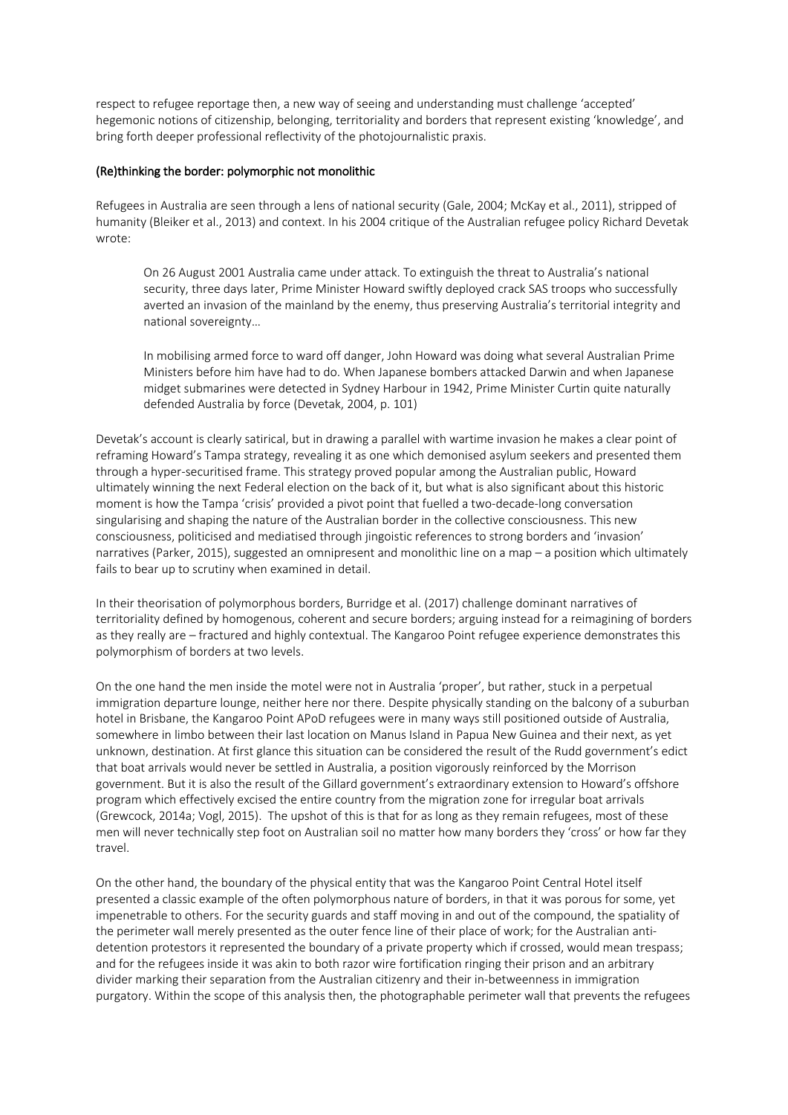respect to refugee reportage then, a new way of seeing and understanding must challenge 'accepted' hegemonic notions of citizenship, belonging, territoriality and borders that represent existing 'knowledge', and bring forth deeper professional reflectivity of the photojournalistic praxis.

#### (Re)thinking the border: polymorphic not monolithic

Refugees in Australia are seen through a lens of national security (Gale, 2004; McKay et al., 2011), stripped of humanity (Bleiker et al., 2013) and context. In his 2004 critique of the Australian refugee policy Richard Devetak wrote:

On 26 August 2001 Australia came under attack. To extinguish the threat to Australia's national security, three days later, Prime Minister Howard swiftly deployed crack SAS troops who successfully averted an invasion of the mainland by the enemy, thus preserving Australia's territorial integrity and national sovereignty…

In mobilising armed force to ward off danger, John Howard was doing what several Australian Prime Ministers before him have had to do. When Japanese bombers attacked Darwin and when Japanese midget submarines were detected in Sydney Harbour in 1942, Prime Minister Curtin quite naturally defended Australia by force (Devetak, 2004, p. 101)

Devetak's account is clearly satirical, but in drawing a parallel with wartime invasion he makes a clear point of reframing Howard's Tampa strategy, revealing it as one which demonised asylum seekers and presented them through a hyper-securitised frame. This strategy proved popular among the Australian public, Howard ultimately winning the next Federal election on the back of it, but what is also significant about this historic moment is how the Tampa 'crisis' provided a pivot point that fuelled a two-decade-long conversation singularising and shaping the nature of the Australian border in the collective consciousness. This new consciousness, politicised and mediatised through jingoistic references to strong borders and 'invasion' narratives (Parker, 2015), suggested an omnipresent and monolithic line on a map – a position which ultimately fails to bear up to scrutiny when examined in detail.

In their theorisation of polymorphous borders, Burridge et al. (2017) challenge dominant narratives of territoriality defined by homogenous, coherent and secure borders; arguing instead for a reimagining of borders as they really are – fractured and highly contextual. The Kangaroo Point refugee experience demonstrates this polymorphism of borders at two levels.

On the one hand the men inside the motel were not in Australia 'proper', but rather, stuck in a perpetual immigration departure lounge, neither here nor there. Despite physically standing on the balcony of a suburban hotel in Brisbane, the Kangaroo Point APoD refugees were in many ways still positioned outside of Australia, somewhere in limbo between their last location on Manus Island in Papua New Guinea and their next, as yet unknown, destination. At first glance this situation can be considered the result of the Rudd government's edict that boat arrivals would never be settled in Australia, a position vigorously reinforced by the Morrison government. But it is also the result of the Gillard government's extraordinary extension to Howard's offshore program which effectively excised the entire country from the migration zone for irregular boat arrivals (Grewcock, 2014a; Vogl, 2015). The upshot of this is that for as long as they remain refugees, most of these men will never technically step foot on Australian soil no matter how many borders they 'cross' or how far they travel.

On the other hand, the boundary of the physical entity that was the Kangaroo Point Central Hotel itself presented a classic example of the often polymorphous nature of borders, in that it was porous for some, yet impenetrable to others. For the security guards and staff moving in and out of the compound, the spatiality of the perimeter wall merely presented as the outer fence line of their place of work; for the Australian antidetention protestors it represented the boundary of a private property which if crossed, would mean trespass; and for the refugees inside it was akin to both razor wire fortification ringing their prison and an arbitrary divider marking their separation from the Australian citizenry and their in-betweenness in immigration purgatory. Within the scope of this analysis then, the photographable perimeter wall that prevents the refugees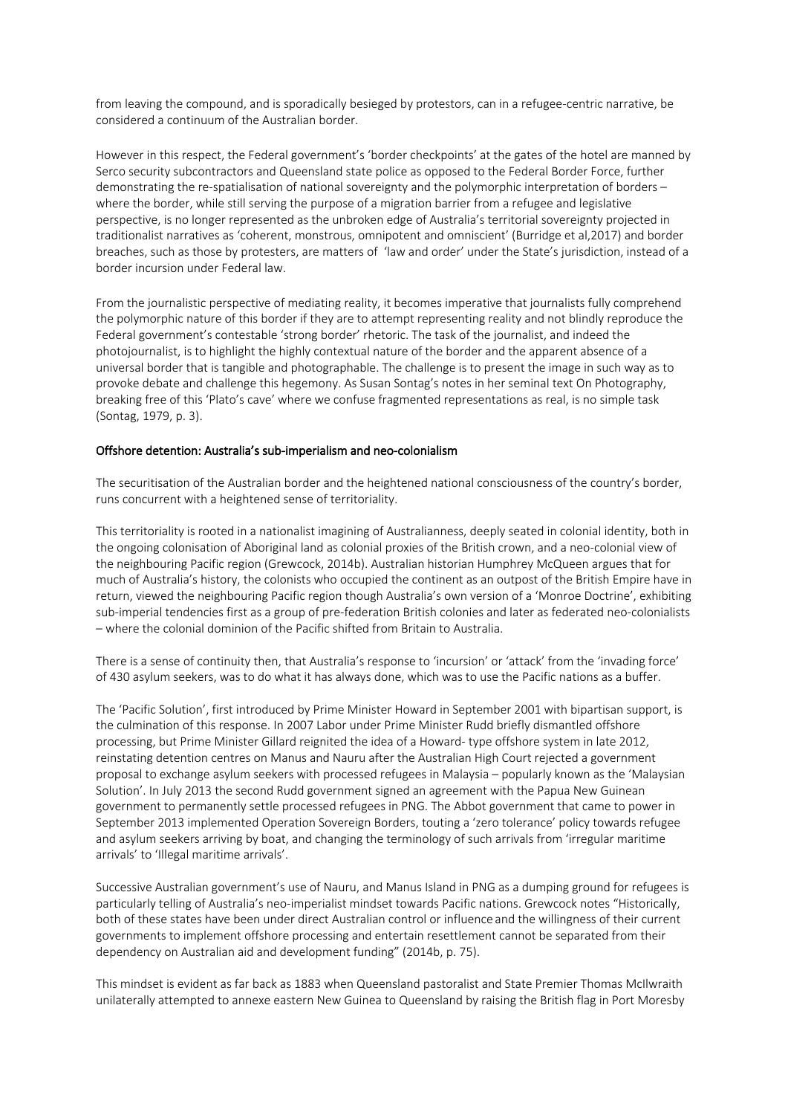from leaving the compound, and is sporadically besieged by protestors, can in a refugee-centric narrative, be considered a continuum of the Australian border.

However in this respect, the Federal government's 'border checkpoints' at the gates of the hotel are manned by Serco security subcontractors and Queensland state police as opposed to the Federal Border Force, further demonstrating the re-spatialisation of national sovereignty and the polymorphic interpretation of borders – where the border, while still serving the purpose of a migration barrier from a refugee and legislative perspective, is no longer represented as the unbroken edge of Australia's territorial sovereignty projected in traditionalist narratives as 'coherent, monstrous, omnipotent and omniscient' (Burridge et al,2017) and border breaches, such as those by protesters, are matters of 'law and order' under the State's jurisdiction, instead of a border incursion under Federal law.

From the journalistic perspective of mediating reality, it becomes imperative that journalists fully comprehend the polymorphic nature of this border if they are to attempt representing reality and not blindly reproduce the Federal government's contestable 'strong border' rhetoric. The task of the journalist, and indeed the photojournalist, is to highlight the highly contextual nature of the border and the apparent absence of a universal border that is tangible and photographable. The challenge is to present the image in such way as to provoke debate and challenge this hegemony. As Susan Sontag's notes in her seminal text On Photography, breaking free of this 'Plato's cave' where we confuse fragmented representations as real, is no simple task (Sontag, 1979, p. 3).

#### Offshore detention: Australia's sub-imperialism and neo-colonialism

The securitisation of the Australian border and the heightened national consciousness of the country's border, runs concurrent with a heightened sense of territoriality.

This territoriality is rooted in a nationalist imagining of Australianness, deeply seated in colonial identity, both in the ongoing colonisation of Aboriginal land as colonial proxies of the British crown, and a neo-colonial view of the neighbouring Pacific region (Grewcock, 2014b). Australian historian Humphrey McQueen argues that for much of Australia's history, the colonists who occupied the continent as an outpost of the British Empire have in return, viewed the neighbouring Pacific region though Australia's own version of a 'Monroe Doctrine', exhibiting sub-imperial tendencies first as a group of pre-federation British colonies and later as federated neo-colonialists – where the colonial dominion of the Pacific shifted from Britain to Australia.

There is a sense of continuity then, that Australia's response to 'incursion' or 'attack' from the 'invading force' of 430 asylum seekers, was to do what it has always done, which was to use the Pacific nations as a buffer.

The 'Pacific Solution', first introduced by Prime Minister Howard in September 2001 with bipartisan support, is the culmination of this response. In 2007 Labor under Prime Minister Rudd briefly dismantled offshore processing, but Prime Minister Gillard reignited the idea of a Howard- type offshore system in late 2012, reinstating detention centres on Manus and Nauru after the Australian High Court rejected a government proposal to exchange asylum seekers with processed refugees in Malaysia – popularly known as the 'Malaysian Solution'. In July 2013 the second Rudd government signed an agreement with the Papua New Guinean government to permanently settle processed refugees in PNG. The Abbot government that came to power in September 2013 implemented Operation Sovereign Borders, touting a 'zero tolerance' policy towards refugee and asylum seekers arriving by boat, and changing the terminology of such arrivals from 'irregular maritime arrivals' to 'Illegal maritime arrivals'.

Successive Australian government's use of Nauru, and Manus Island in PNG as a dumping ground for refugees is particularly telling of Australia's neo-imperialist mindset towards Pacific nations. Grewcock notes "Historically, both of these states have been under direct Australian control or influence and the willingness of their current governments to implement offshore processing and entertain resettlement cannot be separated from their dependency on Australian aid and development funding" (2014b, p. 75).

This mindset is evident as far back as 1883 when Queensland pastoralist and State Premier Thomas McIlwraith unilaterally attempted to annexe eastern New Guinea to Queensland by raising the British flag in Port Moresby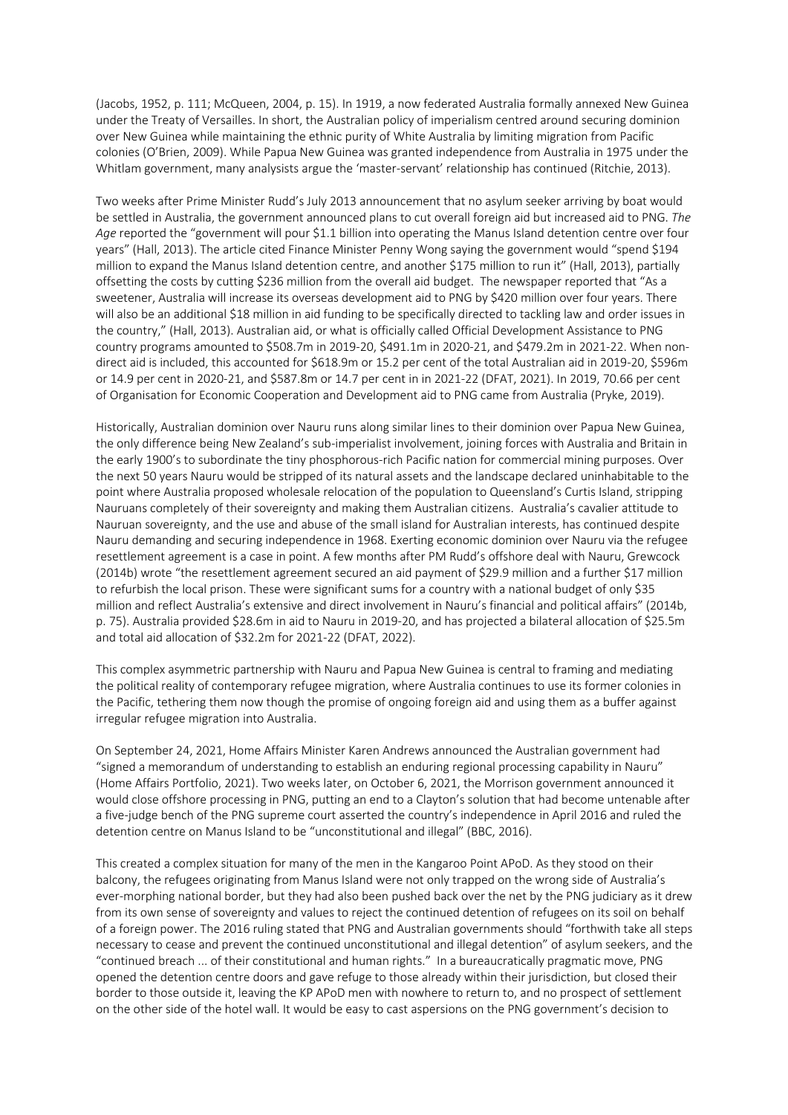(Jacobs, 1952, p. 111; McQueen, 2004, p. 15). In 1919, a now federated Australia formally annexed New Guinea under the Treaty of Versailles. In short, the Australian policy of imperialism centred around securing dominion over New Guinea while maintaining the ethnic purity of White Australia by limiting migration from Pacific colonies (O'Brien, 2009). While Papua New Guinea was granted independence from Australia in 1975 under the Whitlam government, many analysists argue the 'master-servant' relationship has continued (Ritchie, 2013).

Two weeks after Prime Minister Rudd's July 2013 announcement that no asylum seeker arriving by boat would be settled in Australia, the government announced plans to cut overall foreign aid but increased aid to PNG. *The Age* reported the "government will pour \$1.1 billion into operating the Manus Island detention centre over four years" (Hall, 2013). The article cited Finance Minister Penny Wong saying the government would "spend \$194 million to expand the Manus Island detention centre, and another \$175 million to run it" (Hall, 2013), partially offsetting the costs by cutting \$236 million from the overall aid budget. The newspaper reported that "As a sweetener, Australia will increase its overseas development aid to PNG by \$420 million over four years. There will also be an additional \$18 million in aid funding to be specifically directed to tackling law and order issues in the country," (Hall, 2013). Australian aid, or what is officially called Official Development Assistance to PNG country programs amounted to \$508.7m in 2019-20, \$491.1m in 2020-21, and \$479.2m in 2021-22. When nondirect aid is included, this accounted for \$618.9m or 15.2 per cent of the total Australian aid in 2019-20, \$596m or 14.9 per cent in 2020-21, and \$587.8m or 14.7 per cent in in 2021-22 (DFAT, 2021). In 2019, 70.66 per cent of Organisation for Economic Cooperation and Development aid to PNG came from Australia (Pryke, 2019).

Historically, Australian dominion over Nauru runs along similar lines to their dominion over Papua New Guinea, the only difference being New Zealand's sub-imperialist involvement, joining forces with Australia and Britain in the early 1900's to subordinate the tiny phosphorous-rich Pacific nation for commercial mining purposes. Over the next 50 years Nauru would be stripped of its natural assets and the landscape declared uninhabitable to the point where Australia proposed wholesale relocation of the population to Queensland's Curtis Island, stripping Nauruans completely of their sovereignty and making them Australian citizens. Australia's cavalier attitude to Nauruan sovereignty, and the use and abuse of the small island for Australian interests, has continued despite Nauru demanding and securing independence in 1968. Exerting economic dominion over Nauru via the refugee resettlement agreement is a case in point. A few months after PM Rudd's offshore deal with Nauru, Grewcock (2014b) wrote "the resettlement agreement secured an aid payment of \$29.9 million and a further \$17 million to refurbish the local prison. These were significant sums for a country with a national budget of only \$35 million and reflect Australia's extensive and direct involvement in Nauru's financial and political affairs" (2014b, p. 75). Australia provided \$28.6m in aid to Nauru in 2019-20, and has projected a bilateral allocation of \$25.5m and total aid allocation of \$32.2m for 2021-22 (DFAT, 2022).

This complex asymmetric partnership with Nauru and Papua New Guinea is central to framing and mediating the political reality of contemporary refugee migration, where Australia continues to use its former colonies in the Pacific, tethering them now though the promise of ongoing foreign aid and using them as a buffer against irregular refugee migration into Australia.

On September 24, 2021, Home Affairs Minister Karen Andrews announced the Australian government had "signed a memorandum of understanding to establish an enduring regional processing capability in Nauru" (Home Affairs Portfolio, 2021). Two weeks later, on October 6, 2021, the Morrison government announced it would close offshore processing in PNG, putting an end to a Clayton's solution that had become untenable after a five-judge bench of the PNG supreme court asserted the country's independence in April 2016 and ruled the detention centre on Manus Island to be "unconstitutional and illegal" (BBC, 2016).

This created a complex situation for many of the men in the Kangaroo Point APoD. As they stood on their balcony, the refugees originating from Manus Island were not only trapped on the wrong side of Australia's ever-morphing national border, but they had also been pushed back over the net by the PNG judiciary as it drew from its own sense of sovereignty and values to reject the continued detention of refugees on its soil on behalf of a foreign power. The 2016 ruling stated that PNG and Australian governments should "forthwith take all steps necessary to cease and prevent the continued unconstitutional and illegal detention" of asylum seekers, and the "continued breach ... of their constitutional and human rights." In a bureaucratically pragmatic move, PNG opened the detention centre doors and gave refuge to those already within their jurisdiction, but closed their border to those outside it, leaving the KP APoD men with nowhere to return to, and no prospect of settlement on the other side of the hotel wall. It would be easy to cast aspersions on the PNG government's decision to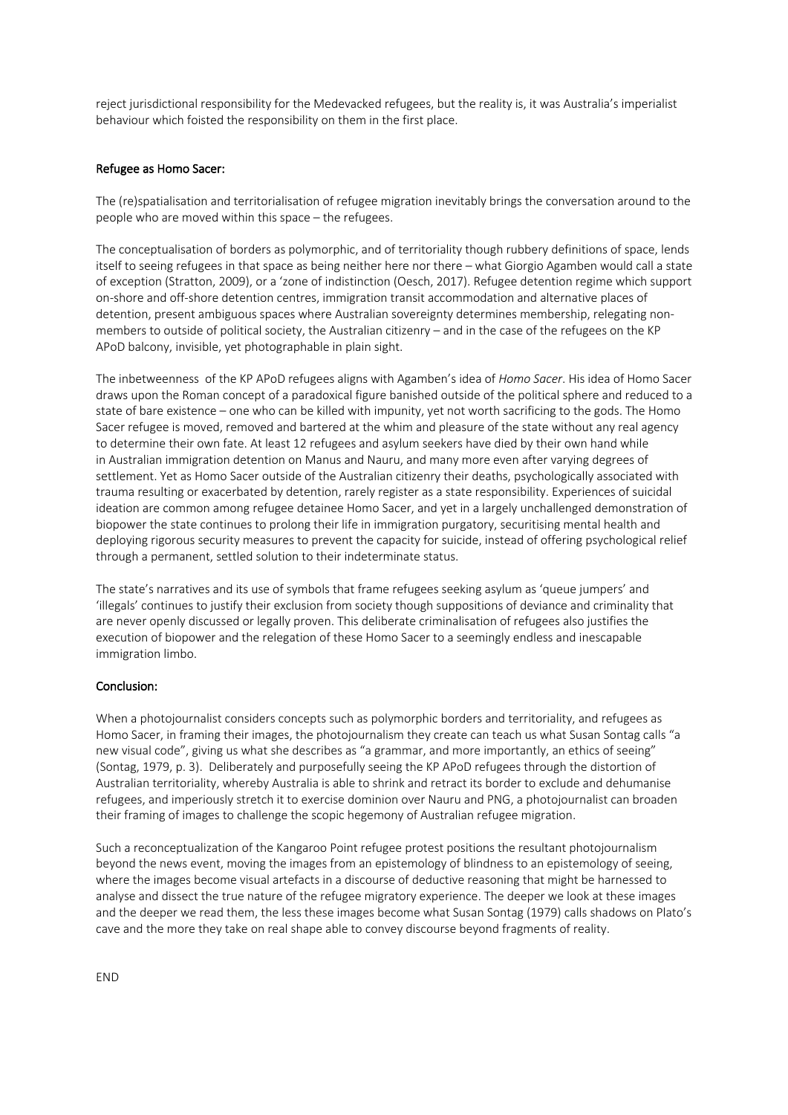reject jurisdictional responsibility for the Medevacked refugees, but the reality is, it was Australia's imperialist behaviour which foisted the responsibility on them in the first place.

## Refugee as Homo Sacer:

The (re)spatialisation and territorialisation of refugee migration inevitably brings the conversation around to the people who are moved within this space – the refugees.

The conceptualisation of borders as polymorphic, and of territoriality though rubbery definitions of space, lends itself to seeing refugees in that space as being neither here nor there – what Giorgio Agamben would call a state of exception (Stratton, 2009), or a 'zone of indistinction (Oesch, 2017). Refugee detention regime which support on-shore and off-shore detention centres, immigration transit accommodation and alternative places of detention, present ambiguous spaces where Australian sovereignty determines membership, relegating nonmembers to outside of political society, the Australian citizenry – and in the case of the refugees on the KP APoD balcony, invisible, yet photographable in plain sight.

The inbetweenness of the KP APoD refugees aligns with Agamben's idea of *Homo Sacer*. His idea of Homo Sacer draws upon the Roman concept of a paradoxical figure banished outside of the political sphere and reduced to a state of bare existence – one who can be killed with impunity, yet not worth sacrificing to the gods. The Homo Sacer refugee is moved, removed and bartered at the whim and pleasure of the state without any real agency to determine their own fate. At least 12 refugees and asylum seekers have died by their own hand while in Australian immigration detention on Manus and Nauru, and many more even after varying degrees of settlement. Yet as Homo Sacer outside of the Australian citizenry their deaths, psychologically associated with trauma resulting or exacerbated by detention, rarely register as a state responsibility. Experiences of suicidal ideation are common among refugee detainee Homo Sacer, and yet in a largely unchallenged demonstration of biopower the state continues to prolong their life in immigration purgatory, securitising mental health and deploying rigorous security measures to prevent the capacity for suicide, instead of offering psychological relief through a permanent, settled solution to their indeterminate status.

The state's narratives and its use of symbols that frame refugees seeking asylum as 'queue jumpers' and 'illegals' continues to justify their exclusion from society though suppositions of deviance and criminality that are never openly discussed or legally proven. This deliberate criminalisation of refugees also justifies the execution of biopower and the relegation of these Homo Sacer to a seemingly endless and inescapable immigration limbo.

## Conclusion:

When a photojournalist considers concepts such as polymorphic borders and territoriality, and refugees as Homo Sacer, in framing their images, the photojournalism they create can teach us what Susan Sontag calls "a new visual code", giving us what she describes as "a grammar, and more importantly, an ethics of seeing" (Sontag, 1979, p. 3). Deliberately and purposefully seeing the KP APoD refugees through the distortion of Australian territoriality, whereby Australia is able to shrink and retract its border to exclude and dehumanise refugees, and imperiously stretch it to exercise dominion over Nauru and PNG, a photojournalist can broaden their framing of images to challenge the scopic hegemony of Australian refugee migration.

Such a reconceptualization of the Kangaroo Point refugee protest positions the resultant photojournalism beyond the news event, moving the images from an epistemology of blindness to an epistemology of seeing, where the images become visual artefacts in a discourse of deductive reasoning that might be harnessed to analyse and dissect the true nature of the refugee migratory experience. The deeper we look at these images and the deeper we read them, the less these images become what Susan Sontag (1979) calls shadows on Plato's cave and the more they take on real shape able to convey discourse beyond fragments of reality.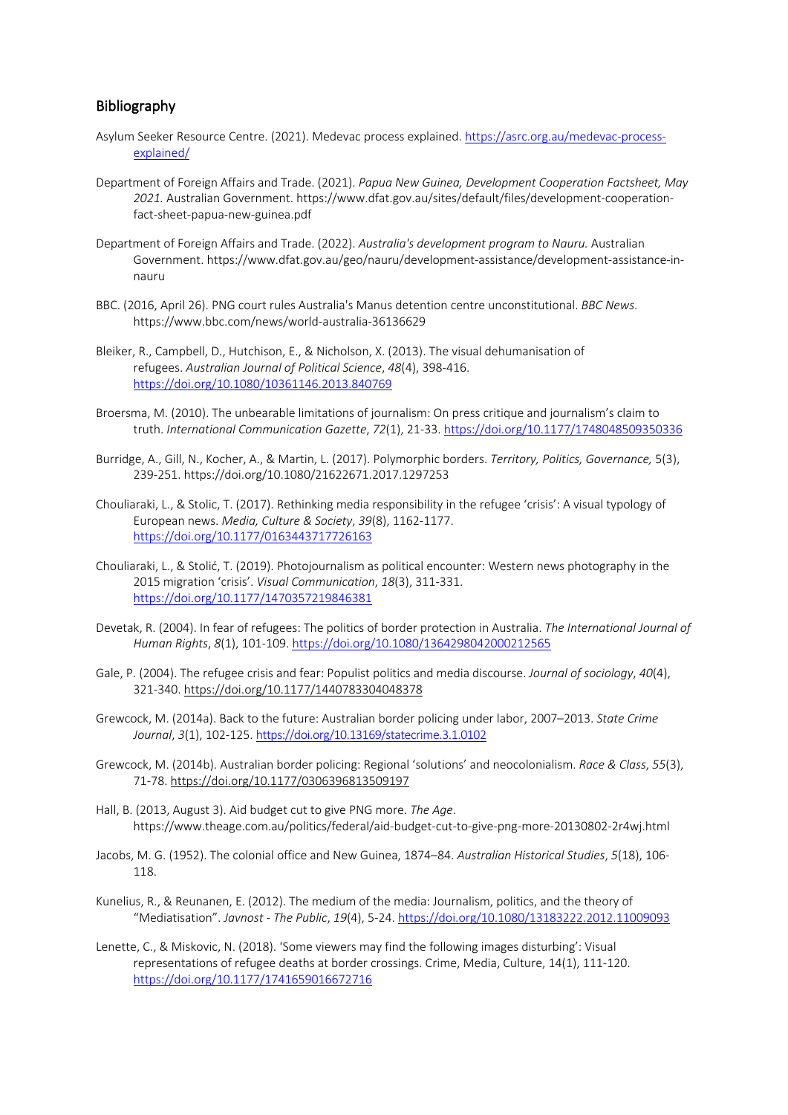# Bibliography

- Asylum Seeker Resource Centre. (2021). Medevac process explained. https://asrc.org.au/medevac-processexplained/
- Department of Foreign Affairs and Trade. (2021). *Papua New Guinea, Development Cooperation Factsheet, May 2021.* Australian Government. https://www.dfat.gov.au/sites/default/files/development-cooperationfact-sheet-papua-new-guinea.pdf
- Department of Foreign Affairs and Trade. (2022). *Australia's development program to Nauru.* Australian Government. https://www.dfat.gov.au/geo/nauru/development-assistance/development-assistance-innauru
- BBC. (2016, April 26). PNG court rules Australia's Manus detention centre unconstitutional. *BBC News*. https://www.bbc.com/news/world-australia-36136629
- Bleiker, R., Campbell, D., Hutchison, E., & Nicholson, X. (2013). The visual dehumanisation of refugees. *Australian Journal of Political Science*, *48*(4), 398-416. https://doi.org/10.1080/10361146.2013.840769
- Broersma, M. (2010). The unbearable limitations of journalism: On press critique and journalism's claim to truth. *International Communication Gazette*, *72*(1), 21-33. https://doi.org/10.1177/1748048509350336
- Burridge, A., Gill, N., Kocher, A., & Martin, L. (2017). Polymorphic borders. *Territory, Politics, Governance,* 5(3), 239-251. https://doi.org/10.1080/21622671.2017.1297253
- Chouliaraki, L., & Stolic, T. (2017). Rethinking media responsibility in the refugee 'crisis': A visual typology of European news. *Media, Culture & Society*, *39*(8), 1162-1177. https://doi.org/10.1177/0163443717726163
- Chouliaraki, L., & Stolić, T. (2019). Photojournalism as political encounter: Western news photography in the 2015 migration 'crisis'. *Visual Communication*, *18*(3), 311-331. https://doi.org/10.1177/1470357219846381
- Devetak, R. (2004). In fear of refugees: The politics of border protection in Australia. *The International Journal of Human Rights*, *8*(1), 101-109. https://doi.org/10.1080/1364298042000212565
- Gale, P. (2004). The refugee crisis and fear: Populist politics and media discourse. *Journal of sociology*, *40*(4), 321-340. https://doi.org/10.1177/1440783304048378
- Grewcock, M. (2014a). Back to the future: Australian border policing under labor, 2007–2013. *State Crime Journal*, *3*(1), 102-125. https://doi.org/10.13169/statecrime.3.1.0102
- Grewcock, M. (2014b). Australian border policing: Regional 'solutions' and neocolonialism. *Race & Class*, *55*(3), 71-78. https://doi.org/10.1177/0306396813509197
- Hall, B. (2013, August 3). Aid budget cut to give PNG more. *The Age*. https://www.theage.com.au/politics/federal/aid-budget-cut-to-give-png-more-20130802-2r4wj.html
- Jacobs, M. G. (1952). The colonial office and New Guinea, 1874–84. *Australian Historical Studies*, *5*(18), 106- 118.
- Kunelius, R., & Reunanen, E. (2012). The medium of the media: Journalism, politics, and the theory of "Mediatisation". *Javnost - The Public*, *19*(4), 5-24. https://doi.org/10.1080/13183222.2012.11009093
- Lenette, C., & Miskovic, N. (2018). 'Some viewers may find the following images disturbing': Visual representations of refugee deaths at border crossings. Crime, Media, Culture, 14(1), 111-120. https://doi.org/10.1177/1741659016672716